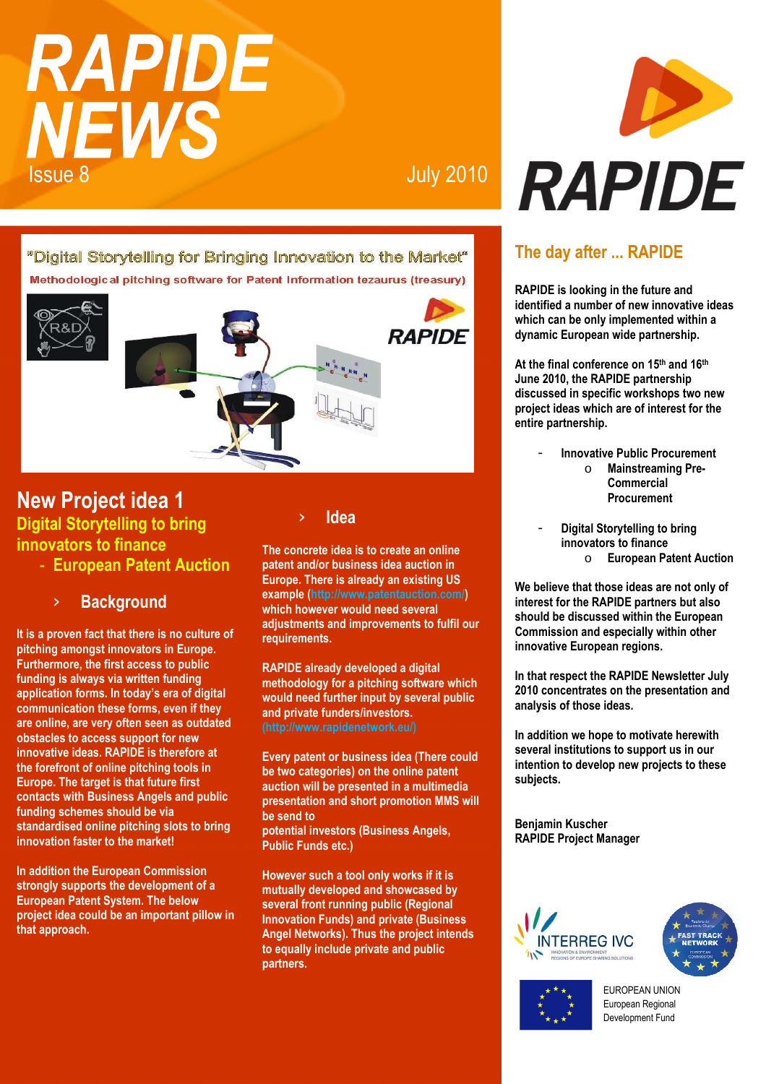# **RAPIDE NEWS** Issue 8 July 2010

"Digital Storytelling for Bringing Innovation to the Market" Methodological pitching software for Patent Information tezaurus (treasury)



## **New Project idea 1 Digital Storytelling to bring innovators to finance**

- **European Patent Auction**

## **Background**

**It is a proven fact that there is no culture of pitching amongst innovators in Europe. Furthermore, the first access to public funding is always via written funding application forms. In today's era of digital communication these forms, even if they are online, are very often seen as outdated obstacles to access support for new innovative ideas. RAPIDE is therefore at the forefront of online pitching tools in Europe. The target is that future first contacts with Business Angels and public funding schemes should be via standardised online pitching slots to bring innovation faster to the market!** 

**In addition the European Commission strongly supports the development of a European Patent System. The below project idea could be an important pillow in that approach.** 

#### › **Idea**

**The concrete idea is to create an online patent and/or business idea auction in Europe. There is already an existing US example (http://www.patentauction.com/) which however would need several adjustments and improvements to fulfil our requirements.** 

**RAPIDE already developed a digital methodology for a pitching software which would need further input by several public and private funders/investors.** 

**Every patent or business idea (There could be two categories) on the online patent auction will be presented in a multimedia presentation and short promotion MMS will be send to potential investors (Business Angels, Public Funds etc.)** 

**However such a tool only works if it is mutually developed and showcased by several front running public (Regional Innovation Funds) and private (Business Angel Networks). Thus the project intends to equally include private and public partners.** 



## **The day after ... RAPIDE**

**RAPIDE is looking in the future and identified a number of new innovative ideas which can be only implemented within a dynamic European wide partnership.** 

**At the final conference on 15th and 16th June 2010, the RAPIDE partnership discussed in specific workshops two new project ideas which are of interest for the entire partnership.** 

- **Innovative Public Procurement**  o **Mainstreaming Pre-Commercial** 
	- **Procurement**
- **Digital Storytelling to bring innovators to finance**  o **European Patent Auction**

**We believe that those ideas are not only of interest for the RAPIDE partners but also should be discussed within the European Commission and especially within other innovative European regions.** 

**In that respect the RAPIDE Newsletter July 2010 concentrates on the presentation and analysis of those ideas.** 

**In addition we hope to motivate herewith several institutions to support us in our intention to develop new projects to these subjects.** 

**Benjamin Kuscher RAPIDE Project Manager** 





EUROPEAN UNION European Regional Development Fund